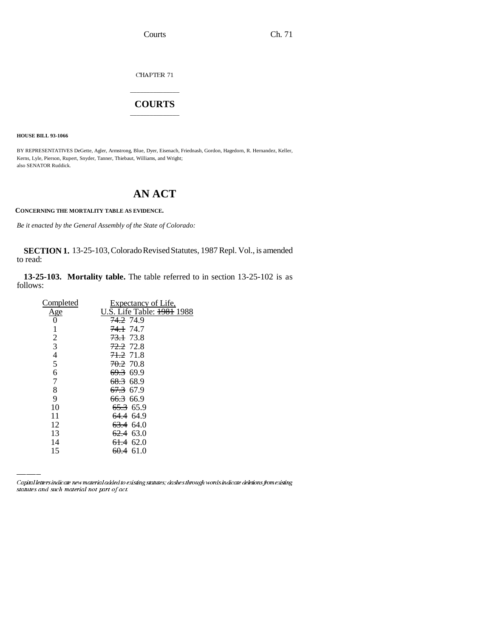Courts Ch. 71

CHAPTER  $71\,$ 

### \_\_\_\_\_\_\_\_\_\_\_\_\_\_\_ **COURTS** \_\_\_\_\_\_\_\_\_\_\_\_\_\_\_

**HOUSE BILL 93-1066**

BY REPRESENTATIVES DeGette, Agler, Armstrong, Blue, Dyer, Eisenach, Friednash, Gordon, Hagedorn, R. Hernandez, Keller, Kerns, Lyle, Pierson, Rupert, Snyder, Tanner, Thiebaut, Williams, and Wright; also SENATOR Ruddick.

# **AN ACT**

**CONCERNING THE MORTALITY TABLE AS EVIDENCE.**

*Be it enacted by the General Assembly of the State of Colorado:*

#### **SECTION 1.** 13-25-103, Colorado Revised Statutes, 1987 Repl. Vol., is amended to read:

**13-25-103. Mortality table.** The table referred to in section 13-25-102 is as follows:

| Completed      | Expectancy of Life,                   |
|----------------|---------------------------------------|
| <u>Age</u>     | U.S. Life Table: <del>1981</del> 1988 |
| 0              | <del>74.2</del> 74.9                  |
| 1              | <del>74.1</del> 74.7                  |
| $\overline{2}$ | <del>73.1</del> 73.8                  |
| 3              | <del>72.2</del> 72.8                  |
| $rac{4}{5}$    | <del>71.2</del> 71.8                  |
|                | <del>70.2</del> 70.8                  |
| 6              | 69.3 69.9                             |
| $\overline{7}$ | 68.3 68.9                             |
| 8              | <del>67.3</del> 67.9                  |
| 9              | 66.3 66.9                             |
| 10             | 65.3 65.9                             |
| 11             | <del>64.4</del> 64.9                  |
| 12             | 63.4 64.0                             |
| 13             | $62.4$ 63.0                           |
| 14             | 61.4 62.0                             |
| 15             | <del>60.4</del> 61.0                  |
|                |                                       |

Capital letters indicate new material added to existing statutes; dashes through words indicate deletions from existing statutes and such material not part of act.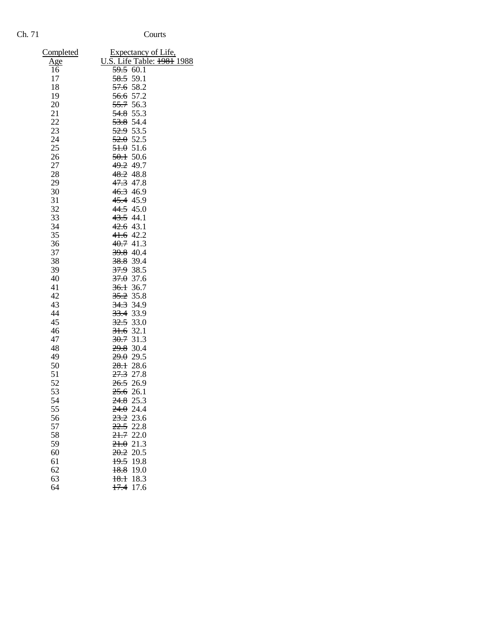## Ch. 71 Courts

| <b>Completed</b> | Expectancy of Life,        |
|------------------|----------------------------|
| <u>Age</u>       | U.S. Life Table: 1981 1988 |
| 16               | $59.5$ 60.1                |
| 17               | 58.5 59.1                  |
| 18               | <del>57.6</del> 58.2       |
| 19               | 56.6 57.2                  |
| 20               | 55.7 56.3                  |
| 21               | $54.8$ 55.3                |
| 22               | <del>53.8</del> 54.4       |
| 23               | <del>52.9</del> 53.5       |
| 24               | 52.052.5                   |
| 25               | 51.051.6                   |
| 26               | 50.150.6                   |
| 27               | <del>49.2</del> 49.7       |
| 28               | 48.2 48.8                  |
| 29               | 47.3 47.8                  |
| 30               | 46.3 46.9                  |
| 31               | 45.4 45.9                  |
| 32               | 44.5 45.0                  |
| 33               | 43.5 44.1                  |
| 34               | 42.6 43.1                  |
| 35               | 41.6 42.2                  |
| 36               | 40.741.3                   |
| 37               | <del>39.8</del> 40.4       |
| 38               | <del>38.8</del> 39.4       |
| 39               | 37.9 38.5                  |
| 40               | $37.0$ 37.6                |
| 41               | 36.136.7                   |
| 42               | 35.2 35.8                  |
| 43               | 34.3 34.9                  |
| 44               | 33.4 33.9                  |
| 45               | $32.5$ 33.0                |
| 46               | $31.6$ 32.1                |
| 47               | <del>30.7</del> 31.3       |
| 48               | <del>29.8</del> 30.4       |
| 49               | 29.029.5                   |
| 50               | 28.128.6                   |
| 51               | <del>27.3</del> 27.8       |
| 52               | <del>26.5</del> 26.9       |
| 53               | <del>25.6</del> 26.1       |
| 54               | 24.8<br>25.3               |
| 55               | 24.0<br>24.4               |
| 56               | $23.2$ 23.6                |
| 57               | $22.5$ 22.8                |
| 58               | 21.722.0                   |
| 59               | 21.021.3                   |
| 60               | $20.2$ 20.5                |
| 61               | $19.5$ 19.8                |
| 62               | 18.8<br>19.0               |
| 63               | 18.118.3                   |
| 64               | $\frac{17.4}{17.6}$        |
|                  |                            |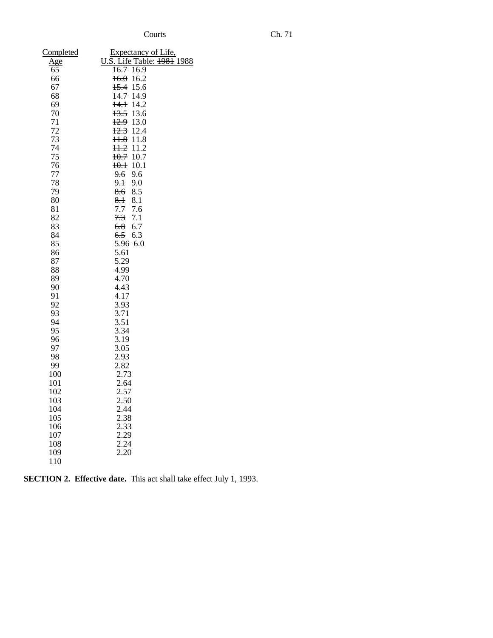| Completed  | Expectancy of Life,                 |
|------------|-------------------------------------|
| <u>Age</u> | U.S. Life Table: 1981 1988          |
| 65         | 16.716.9                            |
| 66         | 16.0<br>16.2                        |
| 67         | 15.6<br>15.4                        |
| 68         | 14.7 14.9                           |
| 69         | 14.2<br>$+4.1$                      |
| 70         | 13.5<br>13.6                        |
| 71         | 12.9<br>13.0                        |
| 72         | 12.3<br>12.4                        |
| 73         | 11.8<br>H.8                         |
| 74         | $11.2$ 11.2                         |
| 75         | $10.7$ 10.7                         |
| 76         | 10.1<br>$+0.1$                      |
| 77         | 9.6<br>9.6                          |
| 78<br>79   | <del>9.1</del><br>9.0<br>8.5<br>8.6 |
| 80         | 8.1<br>$8+$                         |
| 81         | 7.7<br>7.6                          |
| 82         | 7.3<br>7.1                          |
| 83         | 6.8<br>6.7                          |
| 84         | 6.5<br>6.3                          |
| 85         | 5.96 6.0                            |
| 86         | 5.61                                |
| 87         | 5.29                                |
| 88         | 4.99                                |
| 89         | 4.70                                |
| 90         | 4.43                                |
| 91         | 4.17                                |
| 92         | 3.93                                |
| 93         | 3.71                                |
| 94         | 3.51                                |
| 95         | 3.34                                |
| 96<br>97   | 3.19<br>3.05                        |
| 98         | 2.93                                |
| 99         | 2.82                                |
| 100        | 2.73                                |
| 101        | 2.64                                |
| 102        | 2.57                                |
| 103        | 2.50                                |
| 104        | 2.44                                |
| 105        | 2.38                                |
| 106        | 2.33                                |
| 107        | 2.29                                |
| 108        | 2.24                                |
| 109        | 2.20                                |
| 110        |                                     |

|  | <b>SECTION 2. Effective date.</b> This act shall take effect July 1, 1993. |  |
|--|----------------------------------------------------------------------------|--|
|--|----------------------------------------------------------------------------|--|